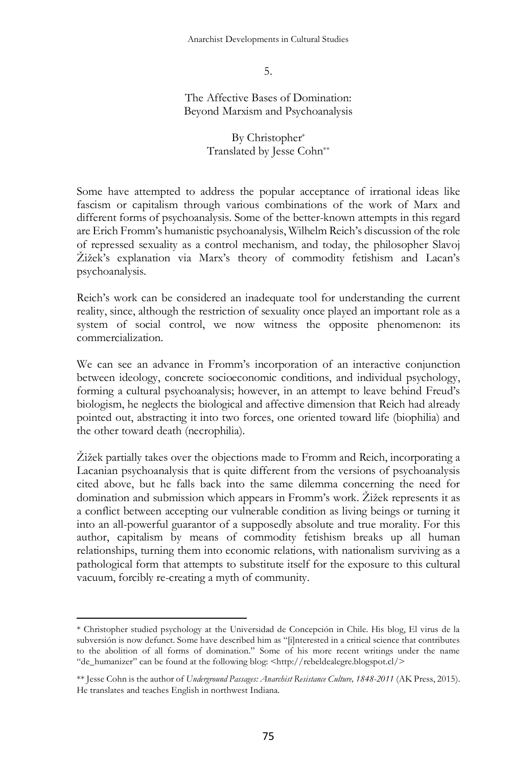5.

The Affective Bases of Domination: Beyond Marxism and Psychoanalysis

> By Christopher\* Translated by Jesse Cohn\*\*

Some have attempted to address the popular acceptance of irrational ideas like fascism or capitalism through various combinations of the work of Marx and different forms of psychoanalysis. Some of the better-known attempts in this regard are Erich Fromm's humanistic psychoanalysis, Wilhelm Reich's discussion of the role of repressed sexuality as a control mechanism, and today, the philosopher Slavoj Žižek's explanation via Marx's theory of commodity fetishism and Lacan's psychoanalysis.

Reich's work can be considered an inadequate tool for understanding the current reality, since, although the restriction of sexuality once played an important role as a system of social control, we now witness the opposite phenomenon: its commercialization.

We can see an advance in Fromm's incorporation of an interactive conjunction between ideology, concrete socioeconomic conditions, and individual psychology, forming a cultural psychoanalysis; however, in an attempt to leave behind Freud's biologism, he neglects the biological and affective dimension that Reich had already pointed out, abstracting it into two forces, one oriented toward life (biophilia) and the other toward death (necrophilia).

Žižek partially takes over the objections made to Fromm and Reich, incorporating a Lacanian psychoanalysis that is quite different from the versions of psychoanalysis cited above, but he falls back into the same dilemma concerning the need for domination and submission which appears in Fromm's work. Žižek represents it as a conflict between accepting our vulnerable condition as living beings or turning it into an all-powerful guarantor of a supposedly absolute and true morality. For this author, capitalism by means of commodity fetishism breaks up all human relationships, turning them into economic relations, with nationalism surviving as a pathological form that attempts to substitute itself for the exposure to this cultural vacuum, forcibly re-creating a myth of community.

 $\overline{a}$ 

<sup>\*</sup> Christopher studied psychology at the Universidad de Concepción in Chile. His blog, El virus de la subversión is now defunct. Some have described him as "[i]nterested in a critical science that contributes to the abolition of all forms of domination." Some of his more recent writings under the name "de\_humanizer" can be found at the following blog: <http://rebeldealegre.blogspot.cl/>

<sup>\*\*</sup> Jesse Cohn is the author of *Underground Passages: Anarchist Resistance Culture, 1848-2011* (AK Press, 2015). He translates and teaches English in northwest Indiana.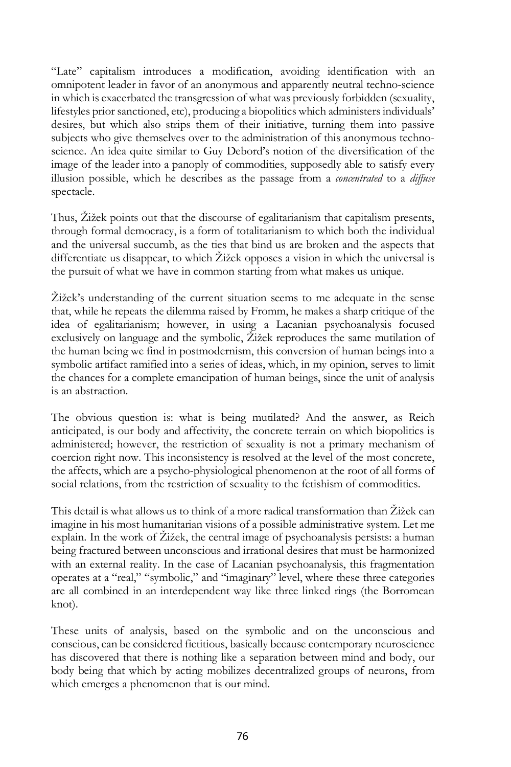"Late" capitalism introduces a modification, avoiding identification with an omnipotent leader in favor of an anonymous and apparently neutral techno-science in which is exacerbated the transgression of what was previously forbidden (sexuality, lifestyles prior sanctioned, etc), producing a biopolitics which administers individuals' desires, but which also strips them of their initiative, turning them into passive subjects who give themselves over to the administration of this anonymous technoscience. An idea quite similar to Guy Debord's notion of the diversification of the image of the leader into a panoply of commodities, supposedly able to satisfy every illusion possible, which he describes as the passage from a *concentrated* to a *diffuse*  spectacle.

Thus, Žižek points out that the discourse of egalitarianism that capitalism presents, through formal democracy, is a form of totalitarianism to which both the individual and the universal succumb, as the ties that bind us are broken and the aspects that differentiate us disappear, to which Žižek opposes a vision in which the universal is the pursuit of what we have in common starting from what makes us unique.

Žižek's understanding of the current situation seems to me adequate in the sense that, while he repeats the dilemma raised by Fromm, he makes a sharp critique of the idea of egalitarianism; however, in using a Lacanian psychoanalysis focused exclusively on language and the symbolic, Žižek reproduces the same mutilation of the human being we find in postmodernism, this conversion of human beings into a symbolic artifact ramified into a series of ideas, which, in my opinion, serves to limit the chances for a complete emancipation of human beings, since the unit of analysis is an abstraction.

The obvious question is: what is being mutilated? And the answer, as Reich anticipated, is our body and affectivity, the concrete terrain on which biopolitics is administered; however, the restriction of sexuality is not a primary mechanism of coercion right now. This inconsistency is resolved at the level of the most concrete, the affects, which are a psycho-physiological phenomenon at the root of all forms of social relations, from the restriction of sexuality to the fetishism of commodities.

This detail is what allows us to think of a more radical transformation than Žižek can imagine in his most humanitarian visions of a possible administrative system. Let me explain. In the work of Žižek, the central image of psychoanalysis persists: a human being fractured between unconscious and irrational desires that must be harmonized with an external reality. In the case of Lacanian psychoanalysis, this fragmentation operates at a "real," "symbolic," and "imaginary" level, where these three categories are all combined in an interdependent way like three linked rings (the Borromean knot).

These units of analysis, based on the symbolic and on the unconscious and conscious, can be considered fictitious, basically because contemporary neuroscience has discovered that there is nothing like a separation between mind and body, our body being that which by acting mobilizes decentralized groups of neurons, from which emerges a phenomenon that is our mind.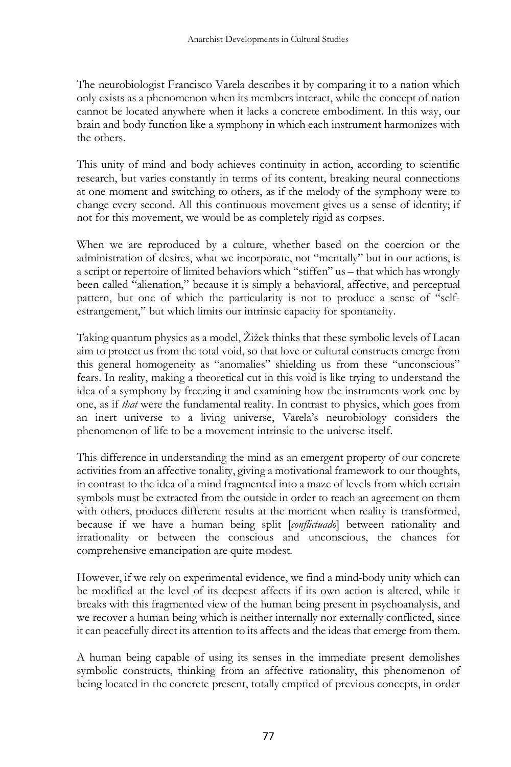The neurobiologist Francisco Varela describes it by comparing it to a nation which only exists as a phenomenon when its members interact, while the concept of nation cannot be located anywhere when it lacks a concrete embodiment. In this way, our brain and body function like a symphony in which each instrument harmonizes with the others.

This unity of mind and body achieves continuity in action, according to scientific research, but varies constantly in terms of its content, breaking neural connections at one moment and switching to others, as if the melody of the symphony were to change every second. All this continuous movement gives us a sense of identity; if not for this movement, we would be as completely rigid as corpses.

When we are reproduced by a culture, whether based on the coercion or the administration of desires, what we incorporate, not "mentally" but in our actions, is a script or repertoire of limited behaviors which "stiffen" us – that which has wrongly been called "alienation," because it is simply a behavioral, affective, and perceptual pattern, but one of which the particularity is not to produce a sense of "selfestrangement," but which limits our intrinsic capacity for spontaneity.

Taking quantum physics as a model, Žižek thinks that these symbolic levels of Lacan aim to protect us from the total void, so that love or cultural constructs emerge from this general homogeneity as "anomalies" shielding us from these "unconscious" fears. In reality, making a theoretical cut in this void is like trying to understand the idea of a symphony by freezing it and examining how the instruments work one by one, as if *that* were the fundamental reality. In contrast to physics, which goes from an inert universe to a living universe, Varela's neurobiology considers the phenomenon of life to be a movement intrinsic to the universe itself.

This difference in understanding the mind as an emergent property of our concrete activities from an affective tonality, giving a motivational framework to our thoughts, in contrast to the idea of a mind fragmented into a maze of levels from which certain symbols must be extracted from the outside in order to reach an agreement on them with others, produces different results at the moment when reality is transformed, because if we have a human being split [*conflictuado*] between rationality and irrationality or between the conscious and unconscious, the chances for comprehensive emancipation are quite modest.

However, if we rely on experimental evidence, we find a mind-body unity which can be modified at the level of its deepest affects if its own action is altered, while it breaks with this fragmented view of the human being present in psychoanalysis, and we recover a human being which is neither internally nor externally conflicted, since it can peacefully direct its attention to its affects and the ideas that emerge from them.

A human being capable of using its senses in the immediate present demolishes symbolic constructs, thinking from an affective rationality, this phenomenon of being located in the concrete present, totally emptied of previous concepts, in order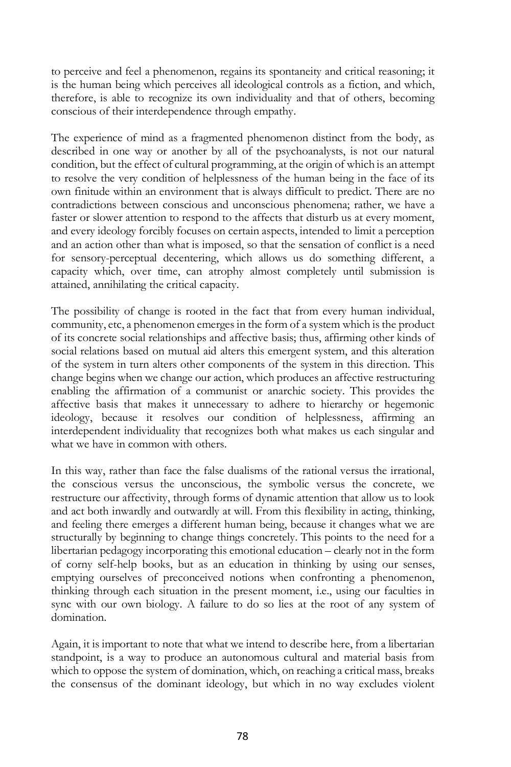to perceive and feel a phenomenon, regains its spontaneity and critical reasoning; it is the human being which perceives all ideological controls as a fiction, and which, therefore, is able to recognize its own individuality and that of others, becoming conscious of their interdependence through empathy.

The experience of mind as a fragmented phenomenon distinct from the body, as described in one way or another by all of the psychoanalysts, is not our natural condition, but the effect of cultural programming, at the origin of which is an attempt to resolve the very condition of helplessness of the human being in the face of its own finitude within an environment that is always difficult to predict. There are no contradictions between conscious and unconscious phenomena; rather, we have a faster or slower attention to respond to the affects that disturb us at every moment, and every ideology forcibly focuses on certain aspects, intended to limit a perception and an action other than what is imposed, so that the sensation of conflict is a need for sensory-perceptual decentering, which allows us do something different, a capacity which, over time, can atrophy almost completely until submission is attained, annihilating the critical capacity.

The possibility of change is rooted in the fact that from every human individual, community, etc, a phenomenon emerges in the form of a system which is the product of its concrete social relationships and affective basis; thus, affirming other kinds of social relations based on mutual aid alters this emergent system, and this alteration of the system in turn alters other components of the system in this direction. This change begins when we change our action, which produces an affective restructuring enabling the affirmation of a communist or anarchic society. This provides the affective basis that makes it unnecessary to adhere to hierarchy or hegemonic ideology, because it resolves our condition of helplessness, affirming an interdependent individuality that recognizes both what makes us each singular and what we have in common with others.

In this way, rather than face the false dualisms of the rational versus the irrational, the conscious versus the unconscious, the symbolic versus the concrete, we restructure our affectivity, through forms of dynamic attention that allow us to look and act both inwardly and outwardly at will. From this flexibility in acting, thinking, and feeling there emerges a different human being, because it changes what we are structurally by beginning to change things concretely. This points to the need for a libertarian pedagogy incorporating this emotional education – clearly not in the form of corny self-help books, but as an education in thinking by using our senses, emptying ourselves of preconceived notions when confronting a phenomenon, thinking through each situation in the present moment, i.e., using our faculties in sync with our own biology. A failure to do so lies at the root of any system of domination.

Again, it is important to note that what we intend to describe here, from a libertarian standpoint, is a way to produce an autonomous cultural and material basis from which to oppose the system of domination, which, on reaching a critical mass, breaks the consensus of the dominant ideology, but which in no way excludes violent